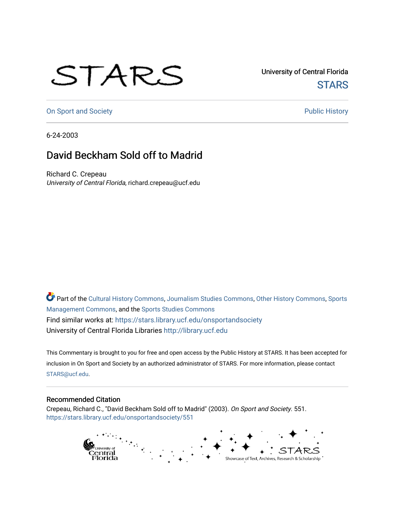## STARS

University of Central Florida **STARS** 

[On Sport and Society](https://stars.library.ucf.edu/onsportandsociety) **Public History** Public History

6-24-2003

## David Beckham Sold off to Madrid

Richard C. Crepeau University of Central Florida, richard.crepeau@ucf.edu

Part of the [Cultural History Commons](http://network.bepress.com/hgg/discipline/496?utm_source=stars.library.ucf.edu%2Fonsportandsociety%2F551&utm_medium=PDF&utm_campaign=PDFCoverPages), [Journalism Studies Commons,](http://network.bepress.com/hgg/discipline/333?utm_source=stars.library.ucf.edu%2Fonsportandsociety%2F551&utm_medium=PDF&utm_campaign=PDFCoverPages) [Other History Commons,](http://network.bepress.com/hgg/discipline/508?utm_source=stars.library.ucf.edu%2Fonsportandsociety%2F551&utm_medium=PDF&utm_campaign=PDFCoverPages) [Sports](http://network.bepress.com/hgg/discipline/1193?utm_source=stars.library.ucf.edu%2Fonsportandsociety%2F551&utm_medium=PDF&utm_campaign=PDFCoverPages) [Management Commons](http://network.bepress.com/hgg/discipline/1193?utm_source=stars.library.ucf.edu%2Fonsportandsociety%2F551&utm_medium=PDF&utm_campaign=PDFCoverPages), and the [Sports Studies Commons](http://network.bepress.com/hgg/discipline/1198?utm_source=stars.library.ucf.edu%2Fonsportandsociety%2F551&utm_medium=PDF&utm_campaign=PDFCoverPages) Find similar works at: <https://stars.library.ucf.edu/onsportandsociety> University of Central Florida Libraries [http://library.ucf.edu](http://library.ucf.edu/) 

This Commentary is brought to you for free and open access by the Public History at STARS. It has been accepted for inclusion in On Sport and Society by an authorized administrator of STARS. For more information, please contact [STARS@ucf.edu](mailto:STARS@ucf.edu).

## Recommended Citation

Crepeau, Richard C., "David Beckham Sold off to Madrid" (2003). On Sport and Society. 551. [https://stars.library.ucf.edu/onsportandsociety/551](https://stars.library.ucf.edu/onsportandsociety/551?utm_source=stars.library.ucf.edu%2Fonsportandsociety%2F551&utm_medium=PDF&utm_campaign=PDFCoverPages)

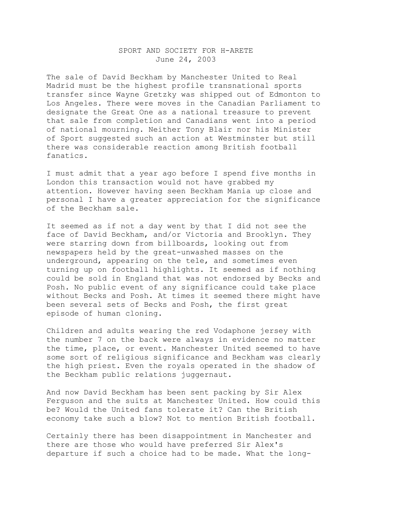## SPORT AND SOCIETY FOR H-ARETE June 24, 2003

The sale of David Beckham by Manchester United to Real Madrid must be the highest profile transnational sports transfer since Wayne Gretzky was shipped out of Edmonton to Los Angeles. There were moves in the Canadian Parliament to designate the Great One as a national treasure to prevent that sale from completion and Canadians went into a period of national mourning. Neither Tony Blair nor his Minister of Sport suggested such an action at Westminster but still there was considerable reaction among British football fanatics.

I must admit that a year ago before I spend five months in London this transaction would not have grabbed my attention. However having seen Beckham Mania up close and personal I have a greater appreciation for the significance of the Beckham sale.

It seemed as if not a day went by that I did not see the face of David Beckham, and/or Victoria and Brooklyn. They were starring down from billboards, looking out from newspapers held by the great-unwashed masses on the underground, appearing on the tele, and sometimes even turning up on football highlights. It seemed as if nothing could be sold in England that was not endorsed by Becks and Posh. No public event of any significance could take place without Becks and Posh. At times it seemed there might have been several sets of Becks and Posh, the first great episode of human cloning.

Children and adults wearing the red Vodaphone jersey with the number 7 on the back were always in evidence no matter the time, place, or event. Manchester United seemed to have some sort of religious significance and Beckham was clearly the high priest. Even the royals operated in the shadow of the Beckham public relations juggernaut.

And now David Beckham has been sent packing by Sir Alex Ferguson and the suits at Manchester United. How could this be? Would the United fans tolerate it? Can the British economy take such a blow? Not to mention British football.

Certainly there has been disappointment in Manchester and there are those who would have preferred Sir Alex's departure if such a choice had to be made. What the long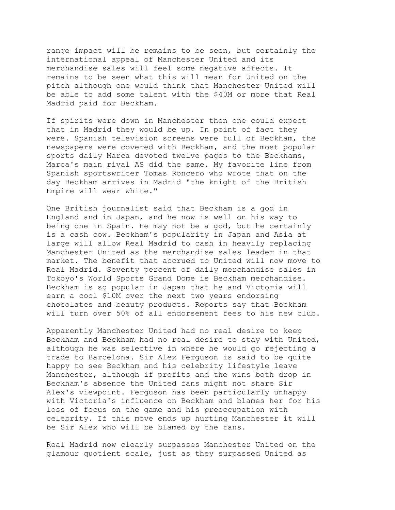range impact will be remains to be seen, but certainly the international appeal of Manchester United and its merchandise sales will feel some negative affects. It remains to be seen what this will mean for United on the pitch although one would think that Manchester United will be able to add some talent with the \$40M or more that Real Madrid paid for Beckham.

If spirits were down in Manchester then one could expect that in Madrid they would be up. In point of fact they were. Spanish television screens were full of Beckham, the newspapers were covered with Beckham, and the most popular sports daily Marca devoted twelve pages to the Beckhams, Marca's main rival AS did the same. My favorite line from Spanish sportswriter Tomas Roncero who wrote that on the day Beckham arrives in Madrid "the knight of the British Empire will wear white."

One British journalist said that Beckham is a god in England and in Japan, and he now is well on his way to being one in Spain. He may not be a god, but he certainly is a cash cow. Beckham's popularity in Japan and Asia at large will allow Real Madrid to cash in heavily replacing Manchester United as the merchandise sales leader in that market. The benefit that accrued to United will now move to Real Madrid. Seventy percent of daily merchandise sales in Tokoyo's World Sports Grand Dome is Beckham merchandise. Beckham is so popular in Japan that he and Victoria will earn a cool \$10M over the next two years endorsing chocolates and beauty products. Reports say that Beckham will turn over 50% of all endorsement fees to his new club.

Apparently Manchester United had no real desire to keep Beckham and Beckham had no real desire to stay with United, although he was selective in where he would go rejecting a trade to Barcelona. Sir Alex Ferguson is said to be quite happy to see Beckham and his celebrity lifestyle leave Manchester, although if profits and the wins both drop in Beckham's absence the United fans might not share Sir Alex's viewpoint. Ferguson has been particularly unhappy with Victoria's influence on Beckham and blames her for his loss of focus on the game and his preoccupation with celebrity. If this move ends up hurting Manchester it will be Sir Alex who will be blamed by the fans.

Real Madrid now clearly surpasses Manchester United on the glamour quotient scale, just as they surpassed United as